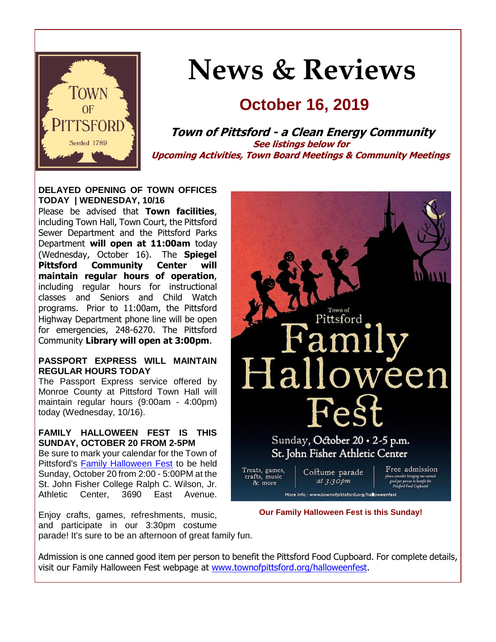

# **News & Reviews**

## **October 16, 2019**

**Town of Pittsford - a Clean Energy Community See listings below for Upcoming Activities, Town Board Meetings & Community Meetings**

**DELAYED OPENING OF TOWN OFFICES TODAY | WEDNESDAY, 10/16**

Please be advised that **Town facilities**, including Town Hall, Town Court, the Pittsford Sewer Department and the Pittsford Parks Department **will open at 11:00am** today (Wednesday, October 16). The **Spiegel Pittsford Community Center will maintain regular hours of operation**, including regular hours for instructional classes and Seniors and Child Watch programs. Prior to 11:00am, the Pittsford Highway Department phone line will be open for emergencies, 248-6270. The Pittsford Community **Library will open at 3:00pm**.

#### **PASSPORT EXPRESS WILL MAINTAIN REGULAR HOURS TODAY**

The Passport Express service offered by Monroe County at Pittsford Town Hall will maintain regular hours (9:00am - 4:00pm) today (Wednesday, 10/16).

#### **FAMILY HALLOWEEN FEST IS THIS SUNDAY, OCTOBER 20 FROM 2-5PM**

Be sure to mark your calendar for the Town of Pittsford's [Family Halloween Fest](http://r20.rs6.net/tn.jsp?f=001A81OFZGGPkkYAIe6W4GjiPqkrxdGHUxPY2VA87VwFAio0w3lmV-dMHqMa-RbMywZOy0vDR3qJKyB6Tp-QVcV8j4XYy7wFayMl82hkMeJjgi9p_0musykHYpy_GoRxNo74shLMROCDxL5_A88tTDImU93mYDB4pIeuJOJmJhn6QCrP9aNlOsHTuDdoNACWxfKWJHeRYa62gksr0wuCKGkbLXso8crxuQcNWn_X7T7XAdI197Mf-XQ7mJLEjfhYAUG8U9LTWl0XbOIWNJooti0GTC90SabeG16VMldzkX_UyIsB7JaVLlin7Vmo3UXVCIj&c=of_ph3m2qk5GBOrWpZqgqLr2iygaG6kiPdxIcM-3TZEznL60BEc8vg==&ch=orN0xwIi7sgC-bxj9aNW0ULdFeJ-G13M6dKz34yW7b-GbJdHNRbi_A==) to be held Sunday, October 20 from 2:00 - 5:00PM at the St. John Fisher College Ralph C. Wilson, Jr. Athletic Center, 3690 East Avenue.

Enjoy crafts, games, refreshments, music, and participate in our 3:30pm costume parade! It's sure to be an afternoon of great family fun.



**Our Family Halloween Fest is this Sunday!**

Admission is one canned good item per person to benefit the Pittsford Food Cupboard. For complete details, visit our Family Halloween Fest webpage at [www.townofpittsford.org/halloweenfest.](http://r20.rs6.net/tn.jsp?f=001A81OFZGGPkkYAIe6W4GjiPqkrxdGHUxPY2VA87VwFAio0w3lmV-dMHqMa-RbMywZOy0vDR3qJKyB6Tp-QVcV8j4XYy7wFayMl82hkMeJjgi9p_0musykHYpy_GoRxNo74shLMROCDxL5_A88tTDImU93mYDB4pIeuJOJmJhn6QCrP9aNlOsHTuDdoNACWxfKWJHeRYa62gksr0wuCKGkbLXso8crxuQcNWn_X7T7XAdI197Mf-XQ7mJLEjfhYAUG8U9LTWl0XbOIWNJooti0GTC90SabeG16VMldzkX_UyIsB7JaVLlin7Vmo3UXVCIj&c=of_ph3m2qk5GBOrWpZqgqLr2iygaG6kiPdxIcM-3TZEznL60BEc8vg==&ch=orN0xwIi7sgC-bxj9aNW0ULdFeJ-G13M6dKz34yW7b-GbJdHNRbi_A==)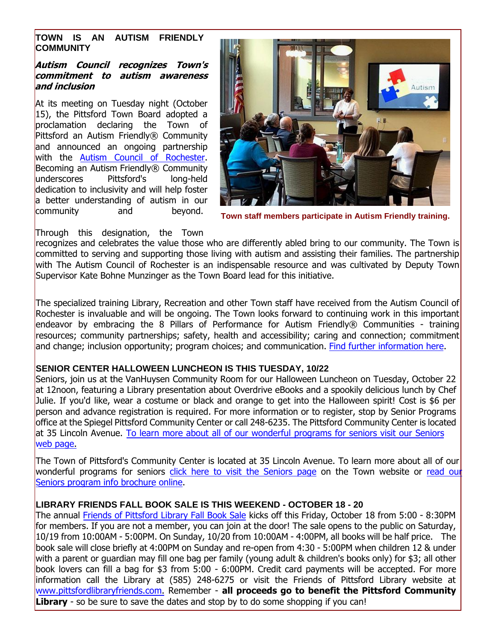#### **TOWN IS AN AUTISM FRIENDLY COMMUNITY**

#### **Autism Council recognizes Town's commitment to autism awareness and inclusion**

At its meeting on Tuesday night (October 15), the Pittsford Town Board adopted a proclamation declaring the Town of Pittsford an Autism Friendly® Community and announced an ongoing partnership with the [Autism Council of Rochester.](http://r20.rs6.net/tn.jsp?f=001A81OFZGGPkkYAIe6W4GjiPqkrxdGHUxPY2VA87VwFAio0w3lmV-dMCJf1acaWnB8rlmcZMlKuj6sEc17FYDA3QznRsH80mLPeML3pBxRM0dQQG4YjpjaGq__AHJ9b01zNVQs-dglARl2yPwgLjQHKLaPBUuaOa5toQYmn8401Kt4bmH2TmJfaILCigu5dg36QVZs0iC8PzmWWuvqkGHSICFylWmXbjJ-qELSeu9Q9dmmVT3tdnSBv54eKo846kxN6xTQ1cHWPnayWDOtmwFqfkx5YMBZRVNcLTMIKuAKrjk=&c=of_ph3m2qk5GBOrWpZqgqLr2iygaG6kiPdxIcM-3TZEznL60BEc8vg==&ch=orN0xwIi7sgC-bxj9aNW0ULdFeJ-G13M6dKz34yW7b-GbJdHNRbi_A==) Becoming an Autism Friendly® Community underscores Pittsford's long-held dedication to inclusivity and will help foster a better understanding of autism in our community and beyond.



**Town staff members participate in Autism Friendly training.**

#### Through this designation, the Town

recognizes and celebrates the value those who are differently abled bring to our community. The Town is committed to serving and supporting those living with autism and assisting their families. The partnership with The Autism Council of Rochester is an indispensable resource and was cultivated by Deputy Town Supervisor Kate Bohne Munzinger as the Town Board lead for this initiative.

The specialized training Library, Recreation and other Town staff have received from the Autism Council of Rochester is invaluable and will be ongoing. The Town looks forward to continuing work in this important endeavor by embracing the 8 Pillars of Performance for Autism Friendly® Communities - training resources; community partnerships; safety, health and accessibility; caring and connection; commitment and change; inclusion opportunity; program choices; and communication. [Find further information here.](http://r20.rs6.net/tn.jsp?f=001A81OFZGGPkkYAIe6W4GjiPqkrxdGHUxPY2VA87VwFAio0w3lmV-dMCJf1acaWnB84tE-kIkjATYoYGbgZcbTsJRhGW1YUEjcFsRti1kwSxUcMisfltMrUpzOBH1haVCgI85wJ_GFTbFlSyxupde27dxOm0K-UL8knevZfjrqg7MZT0MNMldilRxML96ykJoqdgflE6qjAK4AwWe0iiMuaTK63Q2PUfoLpqWF27eSdg-r8HaLvgDuoe__cKiMyCirdToQJL-lIvdvsfsRMSjoOse4S48WyZeZ1zWoQHokhOtgf-CHm8bAmFMdDwJJb285w6w3GduOkpIfCy187S-B5RjnRYe2T_mhMI8oKRsPVjPnlku416ocxPIKiYT_do2HZqRJc3KZMtA=&c=of_ph3m2qk5GBOrWpZqgqLr2iygaG6kiPdxIcM-3TZEznL60BEc8vg==&ch=orN0xwIi7sgC-bxj9aNW0ULdFeJ-G13M6dKz34yW7b-GbJdHNRbi_A==)

#### **SENIOR CENTER HALLOWEEN LUNCHEON IS THIS TUESDAY, 10/22**

Seniors, join us at the VanHuysen Community Room for our Halloween Luncheon on Tuesday, October 22 at 12noon, featuring a Library presentation about Overdrive eBooks and a spookily delicious lunch by Chef Julie. If you'd like, wear a costume or black and orange to get into the Halloween spirit! Cost is \$6 per person and advance registration is required. For more information or to register, stop by Senior Programs office at the Spiegel Pittsford Community Center or call 248-6235. The Pittsford Community Center is located at 35 Lincoln Avenue. [To learn more about all of our wonderful programs for seniors visit our Seniors](http://r20.rs6.net/tn.jsp?f=001A81OFZGGPkkYAIe6W4GjiPqkrxdGHUxPY2VA87VwFAio0w3lmV-dMBbFiNqJuD8mLci4gEahgDIXY4ry2LeVRh3uRpEa2UggYqifD4A5nu0Y_1MsYfd96xrICNGXMbE1fg8ZAJc7suHjDRn2x9jf-MYfct--HepyRelAjrROpUPUArXxzSmhL74eXJszksrLsDEmAwec5HC3ELvcntHKEDWNTR1rx6IulInZbdr3eNgZW67Dw930fyqrrwSkZ78iGMOjYs3zW5gkKbTG1cukPvxw5RLyH6Bsvn9m7GLYQI-ue41ApLA_HVk-tBzPd6hr&c=of_ph3m2qk5GBOrWpZqgqLr2iygaG6kiPdxIcM-3TZEznL60BEc8vg==&ch=orN0xwIi7sgC-bxj9aNW0ULdFeJ-G13M6dKz34yW7b-GbJdHNRbi_A==) [web page.](http://r20.rs6.net/tn.jsp?f=001A81OFZGGPkkYAIe6W4GjiPqkrxdGHUxPY2VA87VwFAio0w3lmV-dMBbFiNqJuD8mLci4gEahgDIXY4ry2LeVRh3uRpEa2UggYqifD4A5nu0Y_1MsYfd96xrICNGXMbE1fg8ZAJc7suHjDRn2x9jf-MYfct--HepyRelAjrROpUPUArXxzSmhL74eXJszksrLsDEmAwec5HC3ELvcntHKEDWNTR1rx6IulInZbdr3eNgZW67Dw930fyqrrwSkZ78iGMOjYs3zW5gkKbTG1cukPvxw5RLyH6Bsvn9m7GLYQI-ue41ApLA_HVk-tBzPd6hr&c=of_ph3m2qk5GBOrWpZqgqLr2iygaG6kiPdxIcM-3TZEznL60BEc8vg==&ch=orN0xwIi7sgC-bxj9aNW0ULdFeJ-G13M6dKz34yW7b-GbJdHNRbi_A==) 

The Town of Pittsford's Community Center is located at 35 Lincoln Avenue. To learn more about all of our wonderful programs for seniors [click here to visit the Seniors page](http://r20.rs6.net/tn.jsp?f=001A81OFZGGPkkYAIe6W4GjiPqkrxdGHUxPY2VA87VwFAio0w3lmV-dMBbFiNqJuD8mLci4gEahgDIXY4ry2LeVRh3uRpEa2UggYqifD4A5nu0Y_1MsYfd96xrICNGXMbE1fg8ZAJc7suHjDRn2x9jf-MYfct--HepyRelAjrROpUPUArXxzSmhL74eXJszksrLsDEmAwec5HC3ELvcntHKEDWNTR1rx6IulInZbdr3eNgZW67Dw930fyqrrwSkZ78iGMOjYs3zW5gkKbTG1cukPvxw5RLyH6Bsvn9m7GLYQI-ue41ApLA_HVk-tBzPd6hr&c=of_ph3m2qk5GBOrWpZqgqLr2iygaG6kiPdxIcM-3TZEznL60BEc8vg==&ch=orN0xwIi7sgC-bxj9aNW0ULdFeJ-G13M6dKz34yW7b-GbJdHNRbi_A==) on the Town website or read our [Seniors program info brochure online.](http://r20.rs6.net/tn.jsp?f=001A81OFZGGPkkYAIe6W4GjiPqkrxdGHUxPY2VA87VwFAio0w3lmV-dMIB_XTCpKRe1zlh-vL7TZ4ODtA_Fpv2HqqK5dMvHhuj-FouMN69ePqOWTy54Z_vCjcvUZ73H0FqIWz3C4xl5GsPmDKo4h7lGzc0u-ELUzhOhfzORYYBMb4DcAqqJK-jXFzwZIie8_vC_7OSp_B5TMuyVje0WVkTcAkPVJUuir1ZhUlojiOwihkSblPJaULnlWI3M7WqXQeh8d2TzCF2ImX7LrNkwSXtbW2M72Q8X5OAddmd8eePYAaLakI3iL4jvv0KGvJx5zWC_lHDWSx1Ga6O8LhlBoZJvpUx8tKpU1pl2q8z3E65tE9LYCFaf6swtMB-azHWrVhqD&c=of_ph3m2qk5GBOrWpZqgqLr2iygaG6kiPdxIcM-3TZEznL60BEc8vg==&ch=orN0xwIi7sgC-bxj9aNW0ULdFeJ-G13M6dKz34yW7b-GbJdHNRbi_A==) 

#### **LIBRARY FRIENDS FALL BOOK SALE IS THIS WEEKEND - OCTOBER 18 - 20**

The annual [Friends of Pittsford Library Fall Book Sale](http://r20.rs6.net/tn.jsp?f=001A81OFZGGPkkYAIe6W4GjiPqkrxdGHUxPY2VA87VwFAio0w3lmV-dMBCzEPRzra6CYXWoDdpdbyjY37OSW41-pCz4bOzesbfe1rAiX9XYqtB_hnYtiSsj0djf9WzofgxYpj6xgYW6qaOlc7TNckiWj2Nnh4UTlxMsvaIVYyohj5Z_OeAMtLl1zboIO9WzJrvpMnLfFckW8XYBR1KcByST0k_jej1XWdmEPUZYrVUBEn6dWT3uGEneerzk2KfM9SG_dIuXhGnPYpNJqGjt9G-_BkHKiWUyHjPk_AGkv20PRu01C5qdWWcE5Q==&c=of_ph3m2qk5GBOrWpZqgqLr2iygaG6kiPdxIcM-3TZEznL60BEc8vg==&ch=orN0xwIi7sgC-bxj9aNW0ULdFeJ-G13M6dKz34yW7b-GbJdHNRbi_A==) kicks off this Friday, October 18 from 5:00 - 8:30PM for members. If you are not a member, you can join at the door! The sale opens to the public on Saturday, 10/19 from 10:00AM - 5:00PM. On Sunday, 10/20 from 10:00AM - 4:00PM, all books will be half price. The book sale will close briefly at 4:00PM on Sunday and re-open from 4:30 - 5:00PM when children 12 & under with a parent or guardian may fill one bag per family (young adult & children's books only) for \$3; all other book lovers can fill a bag for \$3 from 5:00 - 6:00PM. Credit card payments will be accepted. For more information call the Library at (585) 248-6275 or visit the Friends of Pittsford Library website at [www.pittsfordlibraryfriends.com.](http://r20.rs6.net/tn.jsp?f=001A81OFZGGPkkYAIe6W4GjiPqkrxdGHUxPY2VA87VwFAio0w3lmV-dMKVffdacoSkg7FFERl1D9U61Xh9vBA4vakFz6L9szyP2JVYj6SZfcAWGSqjlstbE8sFUOE8-26vhJ_9ELIyMBi_Y9GNEIT1DzlOiPXoSjsrZZWHI2PDiRvJ4lhC1ympD1VgCZ_uEUc7GD0k2nWlfSUsEShi5wI3Z-5kzciwAIWLBxJ8suMVEz64ojZRplbVRR_Lq7M_I5BUBf7WiMSwTtxpu9Hs7EmeR1kX2L-UdyLQ9VeN9_HLvngId5p8CorRiLw==&c=of_ph3m2qk5GBOrWpZqgqLr2iygaG6kiPdxIcM-3TZEznL60BEc8vg==&ch=orN0xwIi7sgC-bxj9aNW0ULdFeJ-G13M6dKz34yW7b-GbJdHNRbi_A==) Remember - **all proceeds go to benefit the Pittsford Community**  Library - so be sure to save the dates and stop by to do some shopping if you can!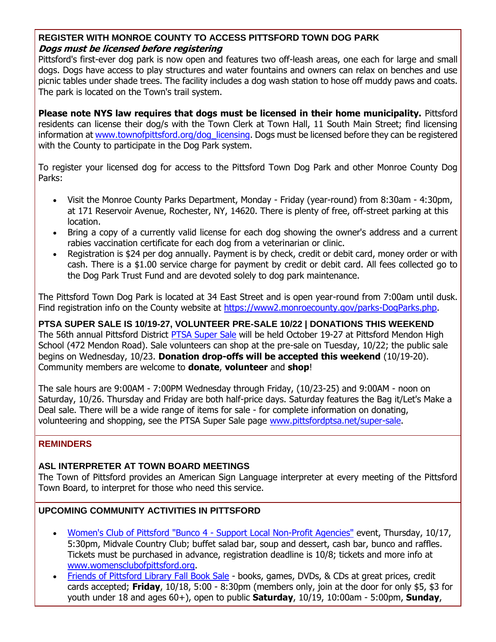#### **REGISTER WITH MONROE COUNTY TO ACCESS PITTSFORD TOWN DOG PARK Dogs must be licensed before registering**

Pittsford's first-ever dog park is now open and features two off-leash areas, one each for large and small dogs. Dogs have access to play structures and water fountains and owners can relax on benches and use picnic tables under shade trees. The facility includes a dog wash station to hose off muddy paws and coats. The park is located on the Town's trail system.

**Please note NYS law requires that dogs must be licensed in their home municipality.** Pittsford residents can license their dog/s with the Town Clerk at Town Hall, 11 South Main Street; find licensing information at [www.townofpittsford.org/dog\\_licensing.](http://r20.rs6.net/tn.jsp?f=001A81OFZGGPkkYAIe6W4GjiPqkrxdGHUxPY2VA87VwFAio0w3lmV-dMDWCNoDhnsSAFO-AumaRisFISGCm_OPCE7djFsJ5kM_z7gezNsNV2D17Hzl2y1BYiQ9rz7iBctBdEquwdf7Deejok_NZn78xU0RTM3zxu24CNQ2TOeQqQUcndNBq-uRVxtIT4tKodshoDXZbNNwbTPrvY8c7nk6jk83CgtIiErowZk2CqZDoOAhsGWrsw7Mcu7bu48D_RpO19CCQqT1AGPeVNDdDJV7mWCd4zDKK0FMSZPpjP5ZAJGoih8J4xq9VjOs1AShoskCp&c=of_ph3m2qk5GBOrWpZqgqLr2iygaG6kiPdxIcM-3TZEznL60BEc8vg==&ch=orN0xwIi7sgC-bxj9aNW0ULdFeJ-G13M6dKz34yW7b-GbJdHNRbi_A==) Dogs must be licensed before they can be registered with the County to participate in the Dog Park system.

To register your licensed dog for access to the Pittsford Town Dog Park and other Monroe County Dog Parks:

- Visit the Monroe County Parks Department, Monday Friday (year-round) from 8:30am 4:30pm, at 171 Reservoir Avenue, Rochester, NY, 14620. There is plenty of free, off-street parking at this location.
- Bring a copy of a currently valid license for each dog showing the owner's address and a current rabies vaccination certificate for each dog from a veterinarian or clinic.
- Registration is \$24 per dog annually. Payment is by check, credit or debit card, money order or with cash. There is a \$1.00 service charge for payment by credit or debit card. All fees collected go to the Dog Park Trust Fund and are devoted solely to dog park maintenance.

The Pittsford Town Dog Park is located at 34 East Street and is open year-round from 7:00am until dusk. Find registration info on the County website at [https://www2.monroecounty.gov/parks-DogParks.php.](http://r20.rs6.net/tn.jsp?f=001A81OFZGGPkkYAIe6W4GjiPqkrxdGHUxPY2VA87VwFAio0w3lmV-dMDWCNoDhnsSAkClN-monlr5zXJlSEUKUPHYS3qJOJbCjI48RtkidiTeu7fXLhTLJtesLkMYp8ZDC5O6n5tL5_jFSR2tsPMlP86IfM-IHvXLSVV9RWnDxRNc6jbbMBYtr7A_73ZIb2PaOTl7db-LmXL97NFf769bCLAA0tXCjW1Us4Nm41lQXajGd7RbEQ02Kw-BtK40lIN0D8t7i7Q6gUaQeJLCB_XAIAFQA6Trz1yoW12cSf1uoOfZL5tE0pA6UsI0gaBYYH2gM&c=of_ph3m2qk5GBOrWpZqgqLr2iygaG6kiPdxIcM-3TZEznL60BEc8vg==&ch=orN0xwIi7sgC-bxj9aNW0ULdFeJ-G13M6dKz34yW7b-GbJdHNRbi_A==)

**PTSA SUPER SALE IS 10/19-27, VOLUNTEER PRE-SALE 10/22 | DONATIONS THIS WEEKEND** The 56th annual Pittsford District [PTSA Super Sale](http://r20.rs6.net/tn.jsp?f=001A81OFZGGPkkYAIe6W4GjiPqkrxdGHUxPY2VA87VwFAio0w3lmV-dMIB_XTCpKRe1pN50yDTiW_6tabkB65MV32k7Xb-d2KyhstdEE2CD3IBvMkVIgO5V7_9uYq6Wg0wLet4sAx5Ygv5BO3BuprUmb1HePy_-rv1jUM-n4fctq2cRbe9a2FFXNTEwSK9SGXCoLfr-dAyuu7k5Abo8bZoRD7mIbGM0JfTDRnlffMuL8C1WUv9Un1ascDxcPN9jhjryTXIPznaVypM8IGbPdvnnkUOk0l1ZiNHTuIv5-rtFT2zq7xkqoGBtTg==&c=of_ph3m2qk5GBOrWpZqgqLr2iygaG6kiPdxIcM-3TZEznL60BEc8vg==&ch=orN0xwIi7sgC-bxj9aNW0ULdFeJ-G13M6dKz34yW7b-GbJdHNRbi_A==) will be held October 19-27 at Pittsford Mendon High School (472 Mendon Road). Sale volunteers can shop at the pre-sale on Tuesday, 10/22; the public sale begins on Wednesday, 10/23. **Donation drop-offs will be accepted this weekend** (10/19-20). Community members are welcome to **donate**, **volunteer** and **shop**!

The sale hours are 9:00AM - 7:00PM Wednesday through Friday, (10/23-25) and 9:00AM - noon on Saturday, 10/26. Thursday and Friday are both half-price days. Saturday features the Bag it/Let's Make a Deal sale. There will be a wide range of items for sale - for complete information on donating, volunteering and shopping, see the PTSA Super Sale page [www.pittsfordptsa.net/super-sale.](http://r20.rs6.net/tn.jsp?f=001A81OFZGGPkkYAIe6W4GjiPqkrxdGHUxPY2VA87VwFAio0w3lmV-dMIB_XTCpKRe1pN50yDTiW_6tabkB65MV32k7Xb-d2KyhstdEE2CD3IBvMkVIgO5V7_9uYq6Wg0wLet4sAx5Ygv5BO3BuprUmb1HePy_-rv1jUM-n4fctq2cRbe9a2FFXNTEwSK9SGXCoLfr-dAyuu7k5Abo8bZoRD7mIbGM0JfTDRnlffMuL8C1WUv9Un1ascDxcPN9jhjryTXIPznaVypM8IGbPdvnnkUOk0l1ZiNHTuIv5-rtFT2zq7xkqoGBtTg==&c=of_ph3m2qk5GBOrWpZqgqLr2iygaG6kiPdxIcM-3TZEznL60BEc8vg==&ch=orN0xwIi7sgC-bxj9aNW0ULdFeJ-G13M6dKz34yW7b-GbJdHNRbi_A==)

#### **REMINDERS**

#### **ASL INTERPRETER AT TOWN BOARD MEETINGS**

The Town of Pittsford provides an American Sign Language interpreter at every meeting of the Pittsford Town Board, to interpret for those who need this service.

#### **UPCOMING COMMUNITY ACTIVITIES IN PITTSFORD**

- [Women's Club of Pittsford "Bunco 4 -](http://r20.rs6.net/tn.jsp?f=001A81OFZGGPkkYAIe6W4GjiPqkrxdGHUxPY2VA87VwFAio0w3lmV-dMHTYh5ATUGiG9QgSc-8huUAaCb5nlvECje_UBYIDROeYnuNMBvLPIiHURZsXBn0pniGKsoNnKFFbO8LPvFcXLBXq2tgCIhgE-Wn8YVvF5rZJt9uwRI_4u41Gua7OOuDa0G9Xy1qX4QC_DSTVip_IGl_F1dslEdUNuNLBpw6EZIs6GxakSbvVkR-sLU86SDGBwyri0SCiC0Q0tA-0fhB18J55gEj2gcU2tL0bXxiYimJzRJe3THh1pPPgcPGWWSVMeg==&c=of_ph3m2qk5GBOrWpZqgqLr2iygaG6kiPdxIcM-3TZEznL60BEc8vg==&ch=orN0xwIi7sgC-bxj9aNW0ULdFeJ-G13M6dKz34yW7b-GbJdHNRbi_A==) Support Local Non-Profit Agencies" event, Thursday, 10/17,
	- 5:30pm, Midvale Country Club; buffet salad bar, soup and dessert, cash bar, bunco and raffles. Tickets must be purchased in advance, registration deadline is 10/8; tickets and more info at [www.womensclubofpittsford.org.](http://r20.rs6.net/tn.jsp?f=001A81OFZGGPkkYAIe6W4GjiPqkrxdGHUxPY2VA87VwFAio0w3lmV-dMHTYh5ATUGiG9QgSc-8huUAaCb5nlvECje_UBYIDROeYnuNMBvLPIiHURZsXBn0pniGKsoNnKFFbO8LPvFcXLBXq2tgCIhgE-Wn8YVvF5rZJt9uwRI_4u41Gua7OOuDa0G9Xy1qX4QC_DSTVip_IGl_F1dslEdUNuNLBpw6EZIs6GxakSbvVkR-sLU86SDGBwyri0SCiC0Q0tA-0fhB18J55gEj2gcU2tL0bXxiYimJzRJe3THh1pPPgcPGWWSVMeg==&c=of_ph3m2qk5GBOrWpZqgqLr2iygaG6kiPdxIcM-3TZEznL60BEc8vg==&ch=orN0xwIi7sgC-bxj9aNW0ULdFeJ-G13M6dKz34yW7b-GbJdHNRbi_A==)
- [Friends of Pittsford Library Fall Book Sale](http://r20.rs6.net/tn.jsp?f=001A81OFZGGPkkYAIe6W4GjiPqkrxdGHUxPY2VA87VwFAio0w3lmV-dMKVffdacoSkgdX7SocDLe-Zj7QNzpfwdnuFxOMlf4-OPI3ZOyVNNwsOe51YTYqV0fbEvGbEpBnQrhMKoYzt-n3sn1L4sWeeWfivxVf0GBXUM-HpHHr7AePrTYVdEPO-BSY4IY1smBcU6oBVSLn__21Jq93FHc_0gKezyWf_Cv51bYGcHB__bOeqwhlcj_jRtjza5eRqYV57B8moNLbFt50_nOpMQxKRVLJyScVs4YQCB3DNkPBEcH257Rd-o9Qtwal0uw1UDtsn6&c=of_ph3m2qk5GBOrWpZqgqLr2iygaG6kiPdxIcM-3TZEznL60BEc8vg==&ch=orN0xwIi7sgC-bxj9aNW0ULdFeJ-G13M6dKz34yW7b-GbJdHNRbi_A==) books, games, DVDs, & CDs at great prices, credit cards accepted; **Friday**, 10/18, 5:00 - 8:30pm (members only, join at the door for only \$5, \$3 for youth under 18 and ages 60+), open to public **Saturday**, 10/19, 10:00am - 5:00pm, **Sunday**,